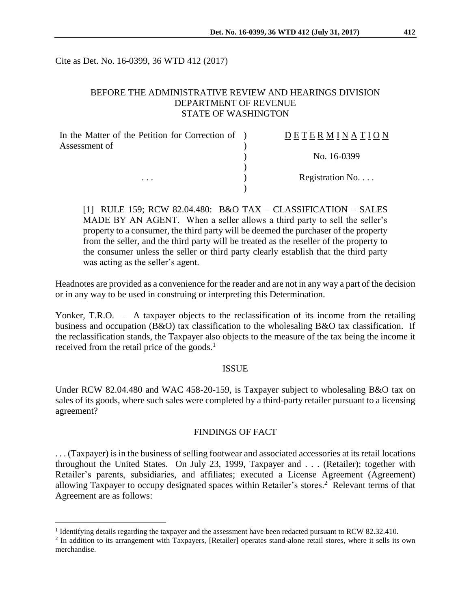Cite as Det. No. 16-0399, 36 WTD 412 (2017)

### BEFORE THE ADMINISTRATIVE REVIEW AND HEARINGS DIVISION DEPARTMENT OF REVENUE STATE OF WASHINGTON

| In the Matter of the Petition for Correction of ) | DETERMINATION   |
|---------------------------------------------------|-----------------|
| Assessment of                                     |                 |
| $\cdots$                                          | No. 16-0399     |
|                                                   | Registration No |
|                                                   |                 |

[1] RULE 159; RCW 82.04.480: B&O TAX – CLASSIFICATION – SALES MADE BY AN AGENT. When a seller allows a third party to sell the seller's property to a consumer, the third party will be deemed the purchaser of the property from the seller, and the third party will be treated as the reseller of the property to the consumer unless the seller or third party clearly establish that the third party was acting as the seller's agent.

Headnotes are provided as a convenience for the reader and are not in any way a part of the decision or in any way to be used in construing or interpreting this Determination.

Yonker, T.R.O. – A taxpayer objects to the reclassification of its income from the retailing business and occupation (B&O) tax classification to the wholesaling B&O tax classification. If the reclassification stands, the Taxpayer also objects to the measure of the tax being the income it received from the retail price of the goods.<sup>1</sup>

#### **ISSUE**

Under RCW 82.04.480 and WAC 458-20-159, is Taxpayer subject to wholesaling B&O tax on sales of its goods, where such sales were completed by a third-party retailer pursuant to a licensing agreement?

### FINDINGS OF FACT

. . . (Taxpayer) is in the business of selling footwear and associated accessories at itsretail locations throughout the United States. On July 23, 1999, Taxpayer and . . . (Retailer); together with Retailer's parents, subsidiaries, and affiliates; executed a License Agreement (Agreement) allowing Taxpayer to occupy designated spaces within Retailer's stores.<sup>2</sup> Relevant terms of that Agreement are as follows:

 $\overline{a}$ 

<sup>&</sup>lt;sup>1</sup> Identifying details regarding the taxpayer and the assessment have been redacted pursuant to RCW 82.32.410.

<sup>&</sup>lt;sup>2</sup> In addition to its arrangement with Taxpayers, [Retailer] operates stand-alone retail stores, where it sells its own merchandise.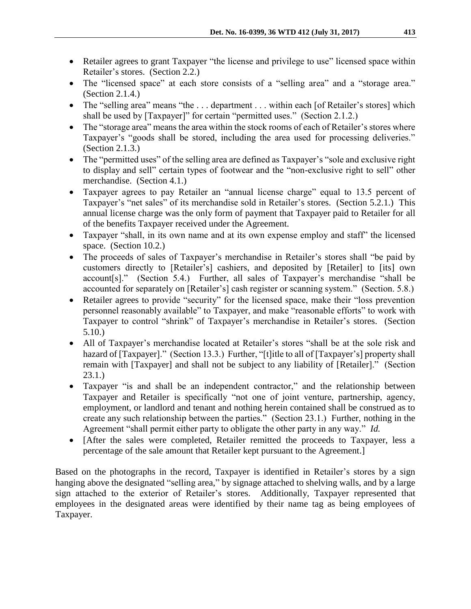- Retailer agrees to grant Taxpayer "the license and privilege to use" licensed space within Retailer's stores. (Section 2.2.)
- The "licensed space" at each store consists of a "selling area" and a "storage area." (Section 2.1.4.)
- The "selling area" means "the ... department ... within each [of Retailer's stores] which shall be used by [Taxpayer]" for certain "permitted uses." (Section 2.1.2.)
- The "storage area" means the area within the stock rooms of each of Retailer's stores where Taxpayer's "goods shall be stored, including the area used for processing deliveries." (Section 2.1.3.)
- The "permitted uses" of the selling area are defined as Taxpayer's "sole and exclusive right to display and sell" certain types of footwear and the "non-exclusive right to sell" other merchandise. (Section 4.1.)
- Taxpayer agrees to pay Retailer an "annual license charge" equal to 13.5 percent of Taxpayer's "net sales" of its merchandise sold in Retailer's stores. (Section 5.2.1.) This annual license charge was the only form of payment that Taxpayer paid to Retailer for all of the benefits Taxpayer received under the Agreement.
- Taxpayer "shall, in its own name and at its own expense employ and staff" the licensed space. (Section 10.2.)
- The proceeds of sales of Taxpayer's merchandise in Retailer's stores shall "be paid by customers directly to [Retailer's] cashiers, and deposited by [Retailer] to [its] own account[s]." (Section 5.4.) Further, all sales of Taxpayer's merchandise "shall be accounted for separately on [Retailer's] cash register or scanning system." (Section. 5.8.)
- Retailer agrees to provide "security" for the licensed space, make their "loss prevention personnel reasonably available" to Taxpayer, and make "reasonable efforts" to work with Taxpayer to control "shrink" of Taxpayer's merchandise in Retailer's stores. (Section 5.10.)
- All of Taxpayer's merchandise located at Retailer's stores "shall be at the sole risk and hazard of [Taxpayer]." (Section 13.3.) Further, "[t] itle to all of [Taxpayer's] property shall remain with [Taxpayer] and shall not be subject to any liability of [Retailer]." (Section 23.1.)
- Taxpayer "is and shall be an independent contractor," and the relationship between Taxpayer and Retailer is specifically "not one of joint venture, partnership, agency, employment, or landlord and tenant and nothing herein contained shall be construed as to create any such relationship between the parties." (Section 23.1.) Further, nothing in the Agreement "shall permit either party to obligate the other party in any way." *Id.*
- [After the sales were completed, Retailer remitted the proceeds to Taxpayer, less a percentage of the sale amount that Retailer kept pursuant to the Agreement.]

Based on the photographs in the record, Taxpayer is identified in Retailer's stores by a sign hanging above the designated "selling area," by signage attached to shelving walls, and by a large sign attached to the exterior of Retailer's stores. Additionally, Taxpayer represented that employees in the designated areas were identified by their name tag as being employees of Taxpayer.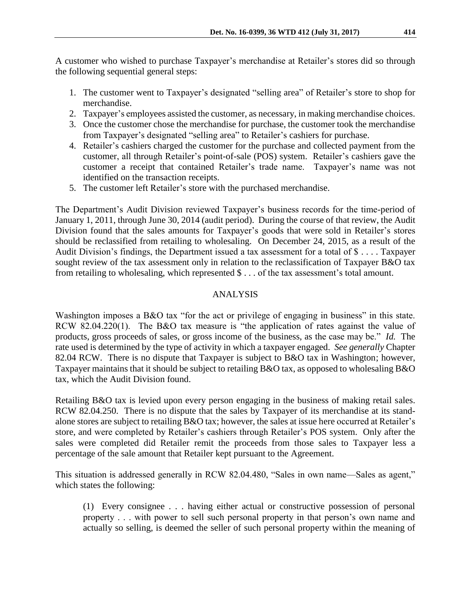A customer who wished to purchase Taxpayer's merchandise at Retailer's stores did so through the following sequential general steps:

- 1. The customer went to Taxpayer's designated "selling area" of Retailer's store to shop for merchandise.
- 2. Taxpayer's employees assisted the customer, as necessary, in making merchandise choices.
- 3. Once the customer chose the merchandise for purchase, the customer took the merchandise from Taxpayer's designated "selling area" to Retailer's cashiers for purchase.
- 4. Retailer's cashiers charged the customer for the purchase and collected payment from the customer, all through Retailer's point-of-sale (POS) system. Retailer's cashiers gave the customer a receipt that contained Retailer's trade name. Taxpayer's name was not identified on the transaction receipts.
- 5. The customer left Retailer's store with the purchased merchandise.

The Department's Audit Division reviewed Taxpayer's business records for the time-period of January 1, 2011, through June 30, 2014 (audit period). During the course of that review, the Audit Division found that the sales amounts for Taxpayer's goods that were sold in Retailer's stores should be reclassified from retailing to wholesaling. On December 24, 2015, as a result of the Audit Division's findings, the Department issued a tax assessment for a total of \$ . . . . Taxpayer sought review of the tax assessment only in relation to the reclassification of Taxpayer B&O tax from retailing to wholesaling, which represented \$ . . . of the tax assessment's total amount.

## ANALYSIS

Washington imposes a B&O tax "for the act or privilege of engaging in business" in this state. RCW 82.04.220(1). The B&O tax measure is "the application of rates against the value of products, gross proceeds of sales, or gross income of the business, as the case may be." *Id.* The rate used is determined by the type of activity in which a taxpayer engaged. *See generally* Chapter 82.04 RCW. There is no dispute that Taxpayer is subject to B&O tax in Washington; however, Taxpayer maintains that it should be subject to retailing B&O tax, as opposed to wholesaling B&O tax, which the Audit Division found.

Retailing B&O tax is levied upon every person engaging in the business of making retail sales. RCW 82.04.250. There is no dispute that the sales by Taxpayer of its merchandise at its standalone stores are subject to retailing B&O tax; however, the sales at issue here occurred at Retailer's store, and were completed by Retailer's cashiers through Retailer's POS system. Only after the sales were completed did Retailer remit the proceeds from those sales to Taxpayer less a percentage of the sale amount that Retailer kept pursuant to the Agreement.

This situation is addressed generally in RCW 82.04.480, "Sales in own name—Sales as agent," which states the following:

(1) Every consignee . . . having either actual or constructive possession of personal property . . . with power to sell such personal property in that person's own name and actually so selling, is deemed the seller of such personal property within the meaning of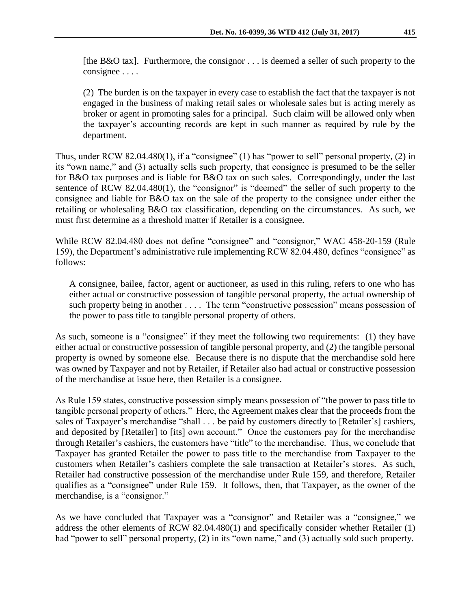[the B&O tax]. Furthermore, the consignor . . . is deemed a seller of such property to the consignee . . . .

(2) The burden is on the taxpayer in every case to establish the fact that the taxpayer is not engaged in the business of making retail sales or wholesale sales but is acting merely as broker or agent in promoting sales for a principal. Such claim will be allowed only when the taxpayer's accounting records are kept in such manner as required by rule by the department.

Thus, under RCW 82.04.480(1), if a "consignee" (1) has "power to sell" personal property, (2) in its "own name," and (3) actually sells such property, that consignee is presumed to be the seller for B&O tax purposes and is liable for B&O tax on such sales. Correspondingly, under the last sentence of RCW 82.04.480(1), the "consignor" is "deemed" the seller of such property to the consignee and liable for B&O tax on the sale of the property to the consignee under either the retailing or wholesaling B&O tax classification, depending on the circumstances. As such, we must first determine as a threshold matter if Retailer is a consignee.

While RCW 82.04.480 does not define "consignee" and "consignor," WAC 458-20-159 (Rule 159), the Department's administrative rule implementing RCW 82.04.480, defines "consignee" as follows:

A consignee, bailee, factor, agent or auctioneer, as used in this ruling, refers to one who has either actual or constructive possession of tangible personal property, the actual ownership of such property being in another . . . . The term "constructive possession" means possession of the power to pass title to tangible personal property of others.

As such, someone is a "consignee" if they meet the following two requirements: (1) they have either actual or constructive possession of tangible personal property, and (2) the tangible personal property is owned by someone else. Because there is no dispute that the merchandise sold here was owned by Taxpayer and not by Retailer, if Retailer also had actual or constructive possession of the merchandise at issue here, then Retailer is a consignee.

As Rule 159 states, constructive possession simply means possession of "the power to pass title to tangible personal property of others." Here, the Agreement makes clear that the proceeds from the sales of Taxpayer's merchandise "shall . . . be paid by customers directly to [Retailer's] cashiers, and deposited by [Retailer] to [its] own account." Once the customers pay for the merchandise through Retailer's cashiers, the customers have "title" to the merchandise. Thus, we conclude that Taxpayer has granted Retailer the power to pass title to the merchandise from Taxpayer to the customers when Retailer's cashiers complete the sale transaction at Retailer's stores. As such, Retailer had constructive possession of the merchandise under Rule 159, and therefore, Retailer qualifies as a "consignee" under Rule 159. It follows, then, that Taxpayer, as the owner of the merchandise, is a "consignor."

As we have concluded that Taxpayer was a "consignor" and Retailer was a "consignee," we address the other elements of RCW 82.04.480(1) and specifically consider whether Retailer (1) had "power to sell" personal property, (2) in its "own name," and (3) actually sold such property.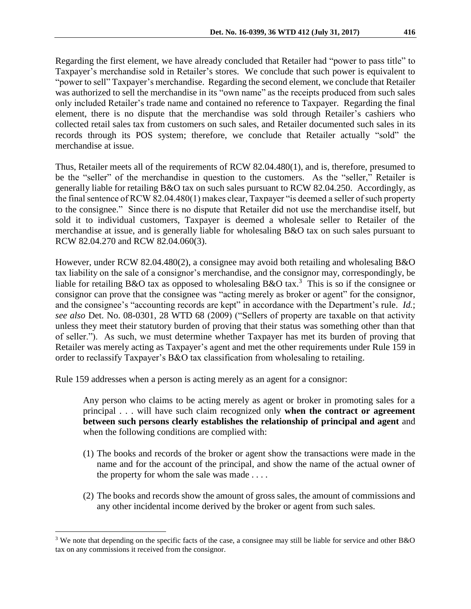Regarding the first element, we have already concluded that Retailer had "power to pass title" to Taxpayer's merchandise sold in Retailer's stores. We conclude that such power is equivalent to "power to sell" Taxpayer's merchandise. Regarding the second element, we conclude that Retailer was authorized to sell the merchandise in its "own name" as the receipts produced from such sales only included Retailer's trade name and contained no reference to Taxpayer. Regarding the final element, there is no dispute that the merchandise was sold through Retailer's cashiers who collected retail sales tax from customers on such sales, and Retailer documented such sales in its records through its POS system; therefore, we conclude that Retailer actually "sold" the merchandise at issue.

Thus, Retailer meets all of the requirements of RCW 82.04.480(1), and is, therefore, presumed to be the "seller" of the merchandise in question to the customers. As the "seller," Retailer is generally liable for retailing B&O tax on such sales pursuant to RCW 82.04.250. Accordingly, as the final sentence of RCW 82.04.480(1) makes clear, Taxpayer "is deemed a seller of such property to the consignee." Since there is no dispute that Retailer did not use the merchandise itself, but sold it to individual customers, Taxpayer is deemed a wholesale seller to Retailer of the merchandise at issue, and is generally liable for wholesaling B&O tax on such sales pursuant to RCW 82.04.270 and RCW 82.04.060(3).

However, under RCW 82.04.480(2), a consignee may avoid both retailing and wholesaling B&O tax liability on the sale of a consignor's merchandise, and the consignor may, correspondingly, be liable for retailing B&O tax as opposed to wholesaling B&O tax.<sup>3</sup> This is so if the consignee or consignor can prove that the consignee was "acting merely as broker or agent" for the consignor, and the consignee's "accounting records are kept" in accordance with the Department's rule. *Id.*; *see also* Det. No. 08-0301, 28 WTD 68 (2009) ("Sellers of property are taxable on that activity unless they meet their statutory burden of proving that their status was something other than that of seller."). As such, we must determine whether Taxpayer has met its burden of proving that Retailer was merely acting as Taxpayer's agent and met the other requirements under Rule 159 in order to reclassify Taxpayer's B&O tax classification from wholesaling to retailing.

Rule 159 addresses when a person is acting merely as an agent for a consignor:

 $\overline{a}$ 

Any person who claims to be acting merely as agent or broker in promoting sales for a principal . . . will have such claim recognized only **when the contract or agreement between such persons clearly establishes the relationship of principal and agent** and when the following conditions are complied with:

- (1) The books and records of the broker or agent show the transactions were made in the name and for the account of the principal, and show the name of the actual owner of the property for whom the sale was made . . . .
- (2) The books and records show the amount of gross sales, the amount of commissions and any other incidental income derived by the broker or agent from such sales.

<sup>3</sup> We note that depending on the specific facts of the case, a consignee may still be liable for service and other B&O tax on any commissions it received from the consignor.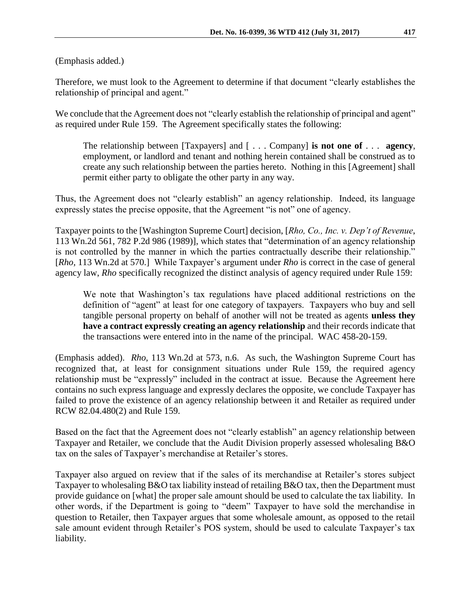(Emphasis added.)

Therefore, we must look to the Agreement to determine if that document "clearly establishes the relationship of principal and agent."

We conclude that the Agreement does not "clearly establish the relationship of principal and agent" as required under Rule 159. The Agreement specifically states the following:

The relationship between [Taxpayers] and [ . . . Company] **is not one of** . . . **agency**, employment, or landlord and tenant and nothing herein contained shall be construed as to create any such relationship between the parties hereto. Nothing in this [Agreement] shall permit either party to obligate the other party in any way.

Thus, the Agreement does not "clearly establish" an agency relationship. Indeed, its language expressly states the precise opposite, that the Agreement "is not" one of agency.

Taxpayer points to the [Washington Supreme Court] decision, [*Rho, Co., Inc. v. Dep't of Revenue*, 113 Wn.2d 561, 782 P.2d 986 (1989)], which states that "determination of an agency relationship is not controlled by the manner in which the parties contractually describe their relationship." [*Rho,* 113 Wn.2d at 570.] While Taxpayer's argument under *Rho* is correct in the case of general agency law, *Rho* specifically recognized the distinct analysis of agency required under Rule 159:

We note that Washington's tax regulations have placed additional restrictions on the definition of "agent" at least for one category of taxpayers. Taxpayers who buy and sell tangible personal property on behalf of another will not be treated as agents **unless they have a contract expressly creating an agency relationship** and their records indicate that the transactions were entered into in the name of the principal. WAC 458-20-159.

(Emphasis added). *Rho*, 113 Wn.2d at 573, n.6. As such, the Washington Supreme Court has recognized that, at least for consignment situations under Rule 159, the required agency relationship must be "expressly" included in the contract at issue. Because the Agreement here contains no such express language and expressly declares the opposite, we conclude Taxpayer has failed to prove the existence of an agency relationship between it and Retailer as required under RCW 82.04.480(2) and Rule 159.

Based on the fact that the Agreement does not "clearly establish" an agency relationship between Taxpayer and Retailer, we conclude that the Audit Division properly assessed wholesaling B&O tax on the sales of Taxpayer's merchandise at Retailer's stores.

Taxpayer also argued on review that if the sales of its merchandise at Retailer's stores subject Taxpayer to wholesaling B&O tax liability instead of retailing B&O tax, then the Department must provide guidance on [what] the proper sale amount should be used to calculate the tax liability. In other words, if the Department is going to "deem" Taxpayer to have sold the merchandise in question to Retailer, then Taxpayer argues that some wholesale amount, as opposed to the retail sale amount evident through Retailer's POS system, should be used to calculate Taxpayer's tax liability.